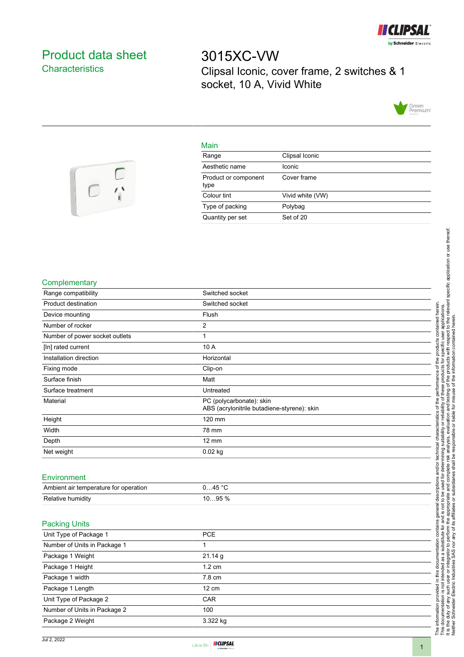

## <span id="page-0-0"></span>Product data sheet **Characteristics**

 $\frac{1}{\sqrt{2}}$ 

3015XC-VW Clipsal Iconic, cover frame, 2 switches & 1 socket, 10 A, Vivid White



## Main

| Range                        | Clipsal Iconic   |
|------------------------------|------------------|
| Aesthetic name               | Iconic           |
| Product or component<br>type | Cover frame      |
| Colour tint                  | Vivid white (VW) |
| Type of packing              | Polybag          |
| Quantity per set             | Set of 20        |



| Range compatibility                   | Switched socket                                                         |
|---------------------------------------|-------------------------------------------------------------------------|
| Product destination                   | Switched socket                                                         |
| Device mounting                       | Flush                                                                   |
| Number of rocker                      | 2                                                                       |
| Number of power socket outlets        | $\mathbf{1}$                                                            |
| [In] rated current                    | 10 A                                                                    |
| Installation direction                | Horizontal                                                              |
| Fixing mode                           | Clip-on                                                                 |
| Surface finish                        | Matt                                                                    |
| Surface treatment                     | Untreated                                                               |
| Material                              | PC (polycarbonate): skin<br>ABS (acrylonitrile butadiene-styrene): skin |
| Height                                | 120 mm                                                                  |
| Width                                 | 78 mm                                                                   |
| Depth                                 | $12 \text{ mm}$                                                         |
| Net weight                            | $0.02$ kg                                                               |
|                                       |                                                                         |
| Environment                           |                                                                         |
| Ambient air temperature for operation | 045 °C                                                                  |
| Relative humidity                     | 1095 %                                                                  |
|                                       |                                                                         |
| <b>Packing Units</b>                  |                                                                         |
| Unit Type of Package 1                | PCE                                                                     |
| Number of Units in Package 1          | $\mathbf{1}$                                                            |
| Package 1 Weight                      | 21.14 g                                                                 |
| Package 1 Height                      | 1.2 cm                                                                  |
| Package 1 width                       | 7.8 cm                                                                  |
| Package 1 Length                      | 12 cm                                                                   |
| Unit Type of Package 2                | CAR                                                                     |
| Number of Units in Package 2          | 100                                                                     |
| Package 2 Weight                      | 3.322 kg                                                                |